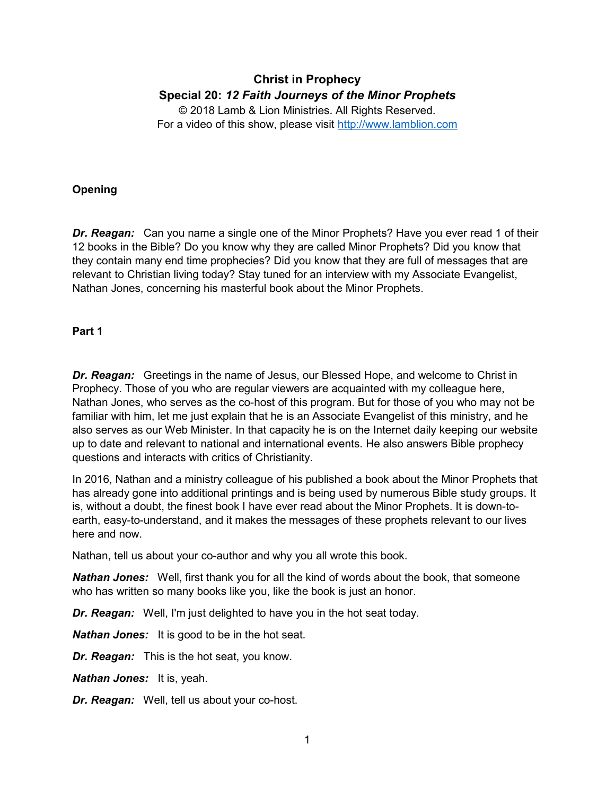# **Christ in Prophecy Special 20:** *12 Faith Journeys of the Minor Prophets*

© 2018 Lamb & Lion Ministries. All Rights Reserved. For a video of this show, please visit [http://www.lamblion.com](http://www.lamblion.com/)

## **Opening**

*Dr. Reagan:* Can you name a single one of the Minor Prophets? Have you ever read 1 of their 12 books in the Bible? Do you know why they are called Minor Prophets? Did you know that they contain many end time prophecies? Did you know that they are full of messages that are relevant to Christian living today? Stay tuned for an interview with my Associate Evangelist, Nathan Jones, concerning his masterful book about the Minor Prophets.

### **Part 1**

*Dr. Reagan:* Greetings in the name of Jesus, our Blessed Hope, and welcome to Christ in Prophecy. Those of you who are regular viewers are acquainted with my colleague here, Nathan Jones, who serves as the co-host of this program. But for those of you who may not be familiar with him, let me just explain that he is an Associate Evangelist of this ministry, and he also serves as our Web Minister. In that capacity he is on the Internet daily keeping our website up to date and relevant to national and international events. He also answers Bible prophecy questions and interacts with critics of Christianity.

In 2016, Nathan and a ministry colleague of his published a book about the Minor Prophets that has already gone into additional printings and is being used by numerous Bible study groups. It is, without a doubt, the finest book I have ever read about the Minor Prophets. It is down-toearth, easy-to-understand, and it makes the messages of these prophets relevant to our lives here and now.

Nathan, tell us about your co-author and why you all wrote this book.

*Nathan Jones:* Well, first thank you for all the kind of words about the book, that someone who has written so many books like you, like the book is just an honor.

*Dr. Reagan:* Well, I'm just delighted to have you in the hot seat today.

*Nathan Jones:* It is good to be in the hot seat.

*Dr. Reagan:* This is the hot seat, you know.

*Nathan Jones:* It is, yeah.

*Dr. Reagan:* Well, tell us about your co-host.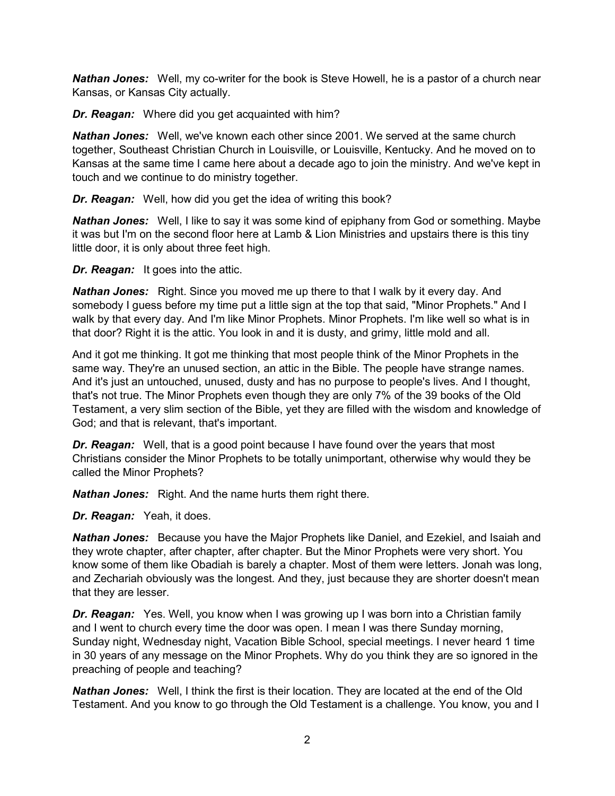*Nathan Jones:* Well, my co-writer for the book is Steve Howell, he is a pastor of a church near Kansas, or Kansas City actually.

*Dr. Reagan:* Where did you get acquainted with him?

*Nathan Jones:* Well, we've known each other since 2001. We served at the same church together, Southeast Christian Church in Louisville, or Louisville, Kentucky. And he moved on to Kansas at the same time I came here about a decade ago to join the ministry. And we've kept in touch and we continue to do ministry together.

*Dr. Reagan:* Well, how did you get the idea of writing this book?

*Nathan Jones:* Well, I like to say it was some kind of epiphany from God or something. Maybe it was but I'm on the second floor here at Lamb & Lion Ministries and upstairs there is this tiny little door, it is only about three feet high.

*Dr. Reagan:* It goes into the attic.

*Nathan Jones:* Right. Since you moved me up there to that I walk by it every day. And somebody I guess before my time put a little sign at the top that said, "Minor Prophets." And I walk by that every day. And I'm like Minor Prophets. Minor Prophets. I'm like well so what is in that door? Right it is the attic. You look in and it is dusty, and grimy, little mold and all.

And it got me thinking. It got me thinking that most people think of the Minor Prophets in the same way. They're an unused section, an attic in the Bible. The people have strange names. And it's just an untouched, unused, dusty and has no purpose to people's lives. And I thought, that's not true. The Minor Prophets even though they are only 7% of the 39 books of the Old Testament, a very slim section of the Bible, yet they are filled with the wisdom and knowledge of God; and that is relevant, that's important.

*Dr. Reagan:* Well, that is a good point because I have found over the years that most Christians consider the Minor Prophets to be totally unimportant, otherwise why would they be called the Minor Prophets?

*Nathan Jones:* Right. And the name hurts them right there.

*Dr. Reagan:* Yeah, it does.

*Nathan Jones:* Because you have the Major Prophets like Daniel, and Ezekiel, and Isaiah and they wrote chapter, after chapter, after chapter. But the Minor Prophets were very short. You know some of them like Obadiah is barely a chapter. Most of them were letters. Jonah was long, and Zechariah obviously was the longest. And they, just because they are shorter doesn't mean that they are lesser.

*Dr. Reagan:* Yes. Well, you know when I was growing up I was born into a Christian family and I went to church every time the door was open. I mean I was there Sunday morning, Sunday night, Wednesday night, Vacation Bible School, special meetings. I never heard 1 time in 30 years of any message on the Minor Prophets. Why do you think they are so ignored in the preaching of people and teaching?

*Nathan Jones:* Well, I think the first is their location. They are located at the end of the Old Testament. And you know to go through the Old Testament is a challenge. You know, you and I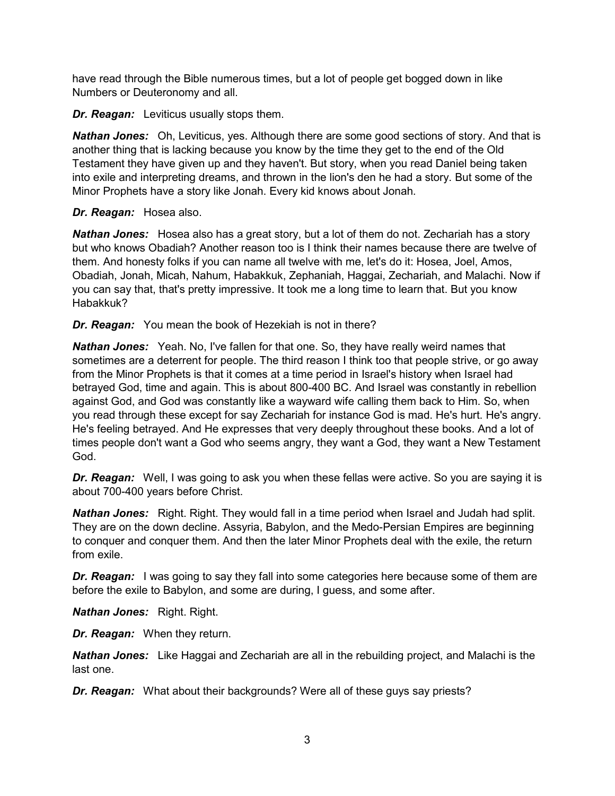have read through the Bible numerous times, but a lot of people get bogged down in like Numbers or Deuteronomy and all.

*Dr. Reagan:* Leviticus usually stops them.

*Nathan Jones:* Oh, Leviticus, yes. Although there are some good sections of story. And that is another thing that is lacking because you know by the time they get to the end of the Old Testament they have given up and they haven't. But story, when you read Daniel being taken into exile and interpreting dreams, and thrown in the lion's den he had a story. But some of the Minor Prophets have a story like Jonah. Every kid knows about Jonah.

### *Dr. Reagan:* Hosea also.

*Nathan Jones:* Hosea also has a great story, but a lot of them do not. Zechariah has a story but who knows Obadiah? Another reason too is I think their names because there are twelve of them. And honesty folks if you can name all twelve with me, let's do it: Hosea, Joel, Amos, Obadiah, Jonah, Micah, Nahum, Habakkuk, Zephaniah, Haggai, Zechariah, and Malachi. Now if you can say that, that's pretty impressive. It took me a long time to learn that. But you know Habakkuk?

*Dr. Reagan:* You mean the book of Hezekiah is not in there?

*Nathan Jones:* Yeah. No, I've fallen for that one. So, they have really weird names that sometimes are a deterrent for people. The third reason I think too that people strive, or go away from the Minor Prophets is that it comes at a time period in Israel's history when Israel had betrayed God, time and again. This is about 800-400 BC. And Israel was constantly in rebellion against God, and God was constantly like a wayward wife calling them back to Him. So, when you read through these except for say Zechariah for instance God is mad. He's hurt. He's angry. He's feeling betrayed. And He expresses that very deeply throughout these books. And a lot of times people don't want a God who seems angry, they want a God, they want a New Testament God.

**Dr. Reagan:** Well, I was going to ask you when these fellas were active. So you are saying it is about 700-400 years before Christ.

*Nathan Jones:* Right. Right. They would fall in a time period when Israel and Judah had split. They are on the down decline. Assyria, Babylon, and the Medo-Persian Empires are beginning to conquer and conquer them. And then the later Minor Prophets deal with the exile, the return from exile.

**Dr. Reagan:** I was going to say they fall into some categories here because some of them are before the exile to Babylon, and some are during, I guess, and some after.

*Nathan Jones:* Right. Right.

*Dr. Reagan:* When they return.

*Nathan Jones:* Like Haggai and Zechariah are all in the rebuilding project, and Malachi is the last one.

*Dr. Reagan:* What about their backgrounds? Were all of these guys say priests?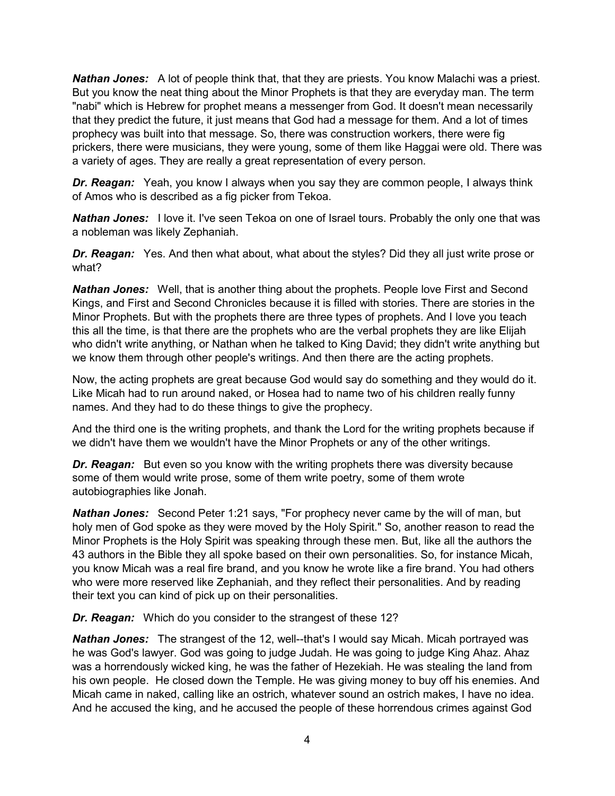*Nathan Jones:* A lot of people think that, that they are priests. You know Malachi was a priest. But you know the neat thing about the Minor Prophets is that they are everyday man. The term "nabi" which is Hebrew for prophet means a messenger from God. It doesn't mean necessarily that they predict the future, it just means that God had a message for them. And a lot of times prophecy was built into that message. So, there was construction workers, there were fig prickers, there were musicians, they were young, some of them like Haggai were old. There was a variety of ages. They are really a great representation of every person.

*Dr. Reagan:* Yeah, you know I always when you say they are common people, I always think of Amos who is described as a fig picker from Tekoa.

*Nathan Jones:* I love it. I've seen Tekoa on one of Israel tours. Probably the only one that was a nobleman was likely Zephaniah.

**Dr. Reagan:** Yes. And then what about, what about the styles? Did they all just write prose or what?

*Nathan Jones:* Well, that is another thing about the prophets. People love First and Second Kings, and First and Second Chronicles because it is filled with stories. There are stories in the Minor Prophets. But with the prophets there are three types of prophets. And I love you teach this all the time, is that there are the prophets who are the verbal prophets they are like Elijah who didn't write anything, or Nathan when he talked to King David; they didn't write anything but we know them through other people's writings. And then there are the acting prophets.

Now, the acting prophets are great because God would say do something and they would do it. Like Micah had to run around naked, or Hosea had to name two of his children really funny names. And they had to do these things to give the prophecy.

And the third one is the writing prophets, and thank the Lord for the writing prophets because if we didn't have them we wouldn't have the Minor Prophets or any of the other writings.

**Dr. Reagan:** But even so you know with the writing prophets there was diversity because some of them would write prose, some of them write poetry, some of them wrote autobiographies like Jonah.

*Nathan Jones:* Second Peter 1:21 says, "For prophecy never came by the will of man, but holy men of God spoke as they were moved by the Holy Spirit." So, another reason to read the Minor Prophets is the Holy Spirit was speaking through these men. But, like all the authors the 43 authors in the Bible they all spoke based on their own personalities. So, for instance Micah, you know Micah was a real fire brand, and you know he wrote like a fire brand. You had others who were more reserved like Zephaniah, and they reflect their personalities. And by reading their text you can kind of pick up on their personalities.

*Dr. Reagan:* Which do you consider to the strangest of these 12?

*Nathan Jones:* The strangest of the 12, well--that's I would say Micah. Micah portrayed was he was God's lawyer. God was going to judge Judah. He was going to judge King Ahaz. Ahaz was a horrendously wicked king, he was the father of Hezekiah. He was stealing the land from his own people. He closed down the Temple. He was giving money to buy off his enemies. And Micah came in naked, calling like an ostrich, whatever sound an ostrich makes, I have no idea. And he accused the king, and he accused the people of these horrendous crimes against God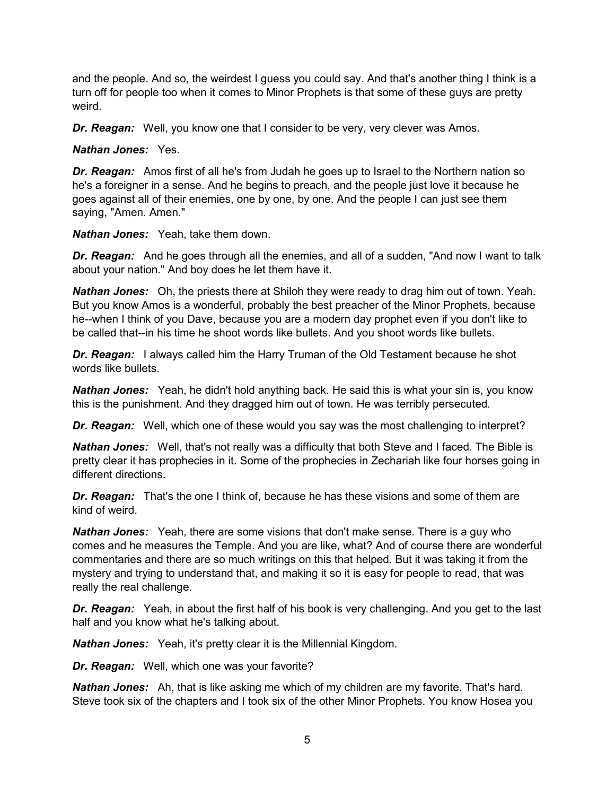and the people. And so, the weirdest I guess you could say. And that's another thing I think is a turn off for people too when it comes to Minor Prophets is that some of these guys are pretty weird.

*Dr. Reagan:* Well, you know one that I consider to be very, very clever was Amos.

*Nathan Jones:* Yes.

*Dr. Reagan:* Amos first of all he's from Judah he goes up to Israel to the Northern nation so he's a foreigner in a sense. And he begins to preach, and the people just love it because he goes against all of their enemies, one by one, by one. And the people I can just see them saying, "Amen. Amen."

*Nathan Jones:* Yeah, take them down.

*Dr. Reagan:* And he goes through all the enemies, and all of a sudden, "And now I want to talk about your nation." And boy does he let them have it.

*Nathan Jones:* Oh, the priests there at Shiloh they were ready to drag him out of town. Yeah. But you know Amos is a wonderful, probably the best preacher of the Minor Prophets, because he--when I think of you Dave, because you are a modern day prophet even if you don't like to be called that--in his time he shoot words like bullets. And you shoot words like bullets.

**Dr. Reagan:** I always called him the Harry Truman of the Old Testament because he shot words like bullets.

**Nathan Jones:** Yeah, he didn't hold anything back. He said this is what your sin is, you know this is the punishment. And they dragged him out of town. He was terribly persecuted.

*Dr. Reagan:* Well, which one of these would you say was the most challenging to interpret?

*Nathan Jones:* Well, that's not really was a difficulty that both Steve and I faced. The Bible is pretty clear it has prophecies in it. Some of the prophecies in Zechariah like four horses going in different directions.

*Dr. Reagan:* That's the one I think of, because he has these visions and some of them are kind of weird.

*Nathan Jones:* Yeah, there are some visions that don't make sense. There is a guy who comes and he measures the Temple. And you are like, what? And of course there are wonderful commentaries and there are so much writings on this that helped. But it was taking it from the mystery and trying to understand that, and making it so it is easy for people to read, that was really the real challenge.

**Dr. Reagan:** Yeah, in about the first half of his book is very challenging. And you get to the last half and you know what he's talking about.

*Nathan Jones:* Yeah, it's pretty clear it is the Millennial Kingdom.

*Dr. Reagan:* Well, which one was your favorite?

*Nathan Jones:* Ah, that is like asking me which of my children are my favorite. That's hard. Steve took six of the chapters and I took six of the other Minor Prophets. You know Hosea you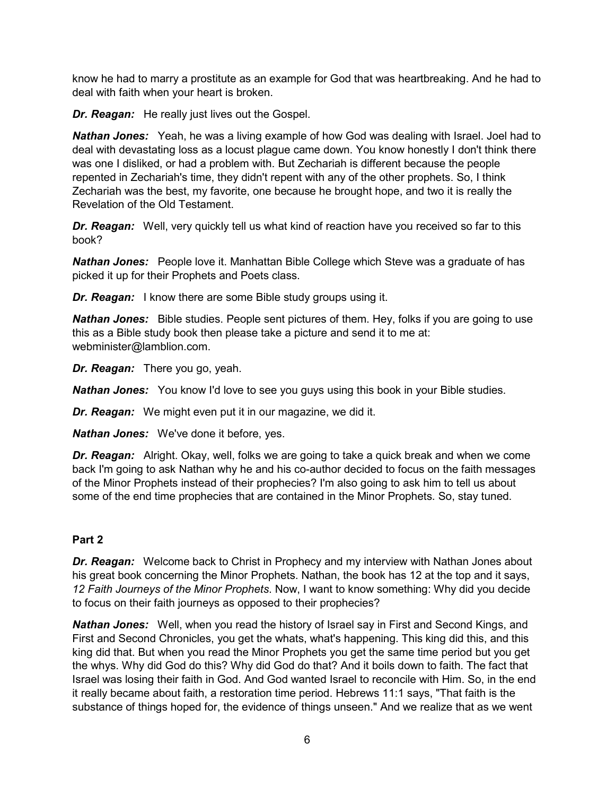know he had to marry a prostitute as an example for God that was heartbreaking. And he had to deal with faith when your heart is broken.

*Dr. Reagan:* He really just lives out the Gospel.

*Nathan Jones:* Yeah, he was a living example of how God was dealing with Israel. Joel had to deal with devastating loss as a locust plague came down. You know honestly I don't think there was one I disliked, or had a problem with. But Zechariah is different because the people repented in Zechariah's time, they didn't repent with any of the other prophets. So, I think Zechariah was the best, my favorite, one because he brought hope, and two it is really the Revelation of the Old Testament.

**Dr. Reagan:** Well, very quickly tell us what kind of reaction have you received so far to this book?

*Nathan Jones:* People love it. Manhattan Bible College which Steve was a graduate of has picked it up for their Prophets and Poets class.

*Dr. Reagan:* I know there are some Bible study groups using it.

**Nathan Jones:** Bible studies. People sent pictures of them. Hey, folks if you are going to use this as a Bible study book then please take a picture and send it to me at: webminister@lamblion.com.

*Dr. Reagan:* There you go, yeah.

*Nathan Jones:* You know I'd love to see you guys using this book in your Bible studies.

*Dr. Reagan:* We might even put it in our magazine, we did it.

*Nathan Jones:* We've done it before, yes.

*Dr. Reagan:* Alright. Okay, well, folks we are going to take a quick break and when we come back I'm going to ask Nathan why he and his co-author decided to focus on the faith messages of the Minor Prophets instead of their prophecies? I'm also going to ask him to tell us about some of the end time prophecies that are contained in the Minor Prophets. So, stay tuned.

## **Part 2**

*Dr. Reagan:* Welcome back to Christ in Prophecy and my interview with Nathan Jones about his great book concerning the Minor Prophets. Nathan, the book has 12 at the top and it says, *12 Faith Journeys of the Minor Prophets*. Now, I want to know something: Why did you decide to focus on their faith journeys as opposed to their prophecies?

*Nathan Jones:* Well, when you read the history of Israel say in First and Second Kings, and First and Second Chronicles, you get the whats, what's happening. This king did this, and this king did that. But when you read the Minor Prophets you get the same time period but you get the whys. Why did God do this? Why did God do that? And it boils down to faith. The fact that Israel was losing their faith in God. And God wanted Israel to reconcile with Him. So, in the end it really became about faith, a restoration time period. Hebrews 11:1 says, "That faith is the substance of things hoped for, the evidence of things unseen." And we realize that as we went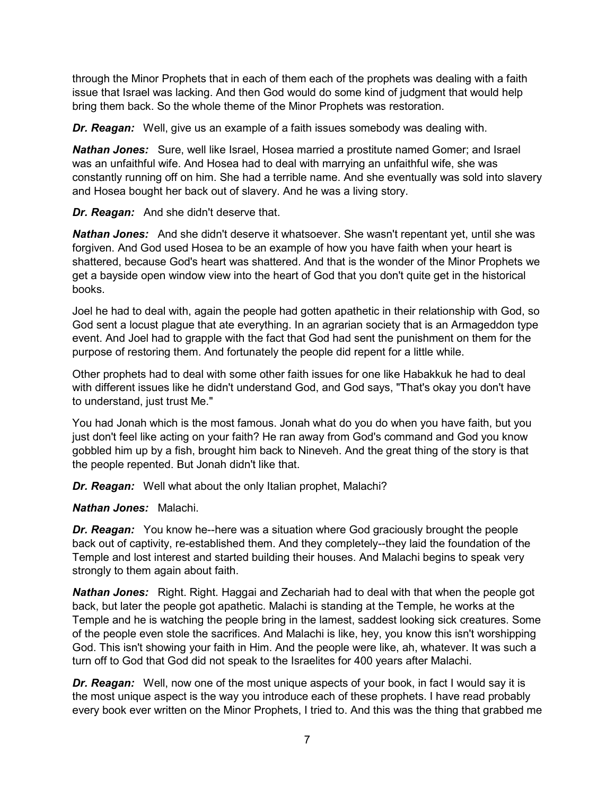through the Minor Prophets that in each of them each of the prophets was dealing with a faith issue that Israel was lacking. And then God would do some kind of judgment that would help bring them back. So the whole theme of the Minor Prophets was restoration.

*Dr. Reagan:* Well, give us an example of a faith issues somebody was dealing with.

*Nathan Jones:* Sure, well like Israel, Hosea married a prostitute named Gomer; and Israel was an unfaithful wife. And Hosea had to deal with marrying an unfaithful wife, she was constantly running off on him. She had a terrible name. And she eventually was sold into slavery and Hosea bought her back out of slavery. And he was a living story.

*Dr. Reagan:* And she didn't deserve that.

*Nathan Jones:* And she didn't deserve it whatsoever. She wasn't repentant yet, until she was forgiven. And God used Hosea to be an example of how you have faith when your heart is shattered, because God's heart was shattered. And that is the wonder of the Minor Prophets we get a bayside open window view into the heart of God that you don't quite get in the historical books.

Joel he had to deal with, again the people had gotten apathetic in their relationship with God, so God sent a locust plague that ate everything. In an agrarian society that is an Armageddon type event. And Joel had to grapple with the fact that God had sent the punishment on them for the purpose of restoring them. And fortunately the people did repent for a little while.

Other prophets had to deal with some other faith issues for one like Habakkuk he had to deal with different issues like he didn't understand God, and God says, "That's okay you don't have to understand, just trust Me."

You had Jonah which is the most famous. Jonah what do you do when you have faith, but you just don't feel like acting on your faith? He ran away from God's command and God you know gobbled him up by a fish, brought him back to Nineveh. And the great thing of the story is that the people repented. But Jonah didn't like that.

*Dr. Reagan:* Well what about the only Italian prophet, Malachi?

*Nathan Jones:* Malachi.

*Dr. Reagan:* You know he--here was a situation where God graciously brought the people back out of captivity, re-established them. And they completely--they laid the foundation of the Temple and lost interest and started building their houses. And Malachi begins to speak very strongly to them again about faith.

*Nathan Jones:* Right. Right. Haggai and Zechariah had to deal with that when the people got back, but later the people got apathetic. Malachi is standing at the Temple, he works at the Temple and he is watching the people bring in the lamest, saddest looking sick creatures. Some of the people even stole the sacrifices. And Malachi is like, hey, you know this isn't worshipping God. This isn't showing your faith in Him. And the people were like, ah, whatever. It was such a turn off to God that God did not speak to the Israelites for 400 years after Malachi.

*Dr. Reagan:* Well, now one of the most unique aspects of your book, in fact I would say it is the most unique aspect is the way you introduce each of these prophets. I have read probably every book ever written on the Minor Prophets, I tried to. And this was the thing that grabbed me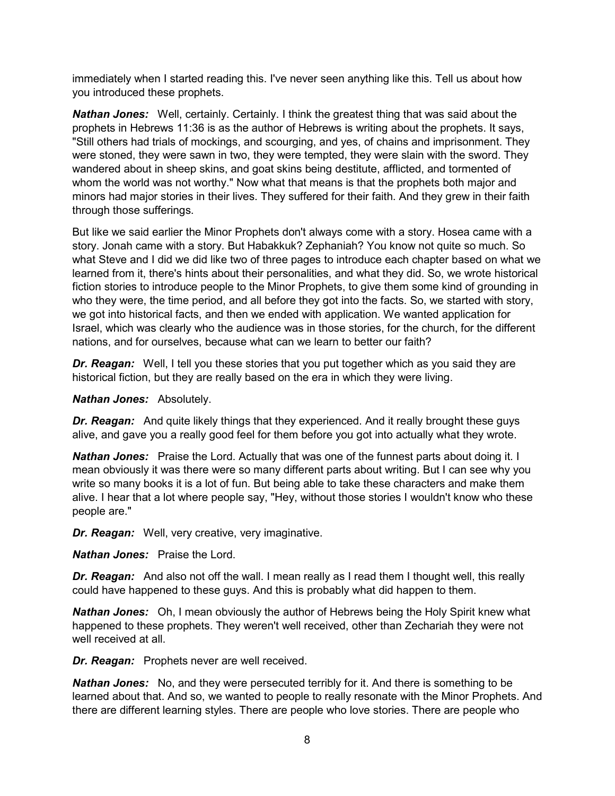immediately when I started reading this. I've never seen anything like this. Tell us about how you introduced these prophets.

*Nathan Jones:* Well, certainly. Certainly. I think the greatest thing that was said about the prophets in Hebrews 11:36 is as the author of Hebrews is writing about the prophets. It says, "Still others had trials of mockings, and scourging, and yes, of chains and imprisonment. They were stoned, they were sawn in two, they were tempted, they were slain with the sword. They wandered about in sheep skins, and goat skins being destitute, afflicted, and tormented of whom the world was not worthy." Now what that means is that the prophets both major and minors had major stories in their lives. They suffered for their faith. And they grew in their faith through those sufferings.

But like we said earlier the Minor Prophets don't always come with a story. Hosea came with a story. Jonah came with a story. But Habakkuk? Zephaniah? You know not quite so much. So what Steve and I did we did like two of three pages to introduce each chapter based on what we learned from it, there's hints about their personalities, and what they did. So, we wrote historical fiction stories to introduce people to the Minor Prophets, to give them some kind of grounding in who they were, the time period, and all before they got into the facts. So, we started with story, we got into historical facts, and then we ended with application. We wanted application for Israel, which was clearly who the audience was in those stories, for the church, for the different nations, and for ourselves, because what can we learn to better our faith?

*Dr. Reagan:* Well, I tell you these stories that you put together which as you said they are historical fiction, but they are really based on the era in which they were living.

#### *Nathan Jones:* Absolutely.

*Dr. Reagan:* And quite likely things that they experienced. And it really brought these guys alive, and gave you a really good feel for them before you got into actually what they wrote.

*Nathan Jones:* Praise the Lord. Actually that was one of the funnest parts about doing it. I mean obviously it was there were so many different parts about writing. But I can see why you write so many books it is a lot of fun. But being able to take these characters and make them alive. I hear that a lot where people say, "Hey, without those stories I wouldn't know who these people are."

*Dr. Reagan:* Well, very creative, very imaginative.

*Nathan Jones:* Praise the Lord.

*Dr. Reagan:* And also not off the wall. I mean really as I read them I thought well, this really could have happened to these guys. And this is probably what did happen to them.

*Nathan Jones:* Oh, I mean obviously the author of Hebrews being the Holy Spirit knew what happened to these prophets. They weren't well received, other than Zechariah they were not well received at all.

*Dr. Reagan:* Prophets never are well received.

*Nathan Jones:* No, and they were persecuted terribly for it. And there is something to be learned about that. And so, we wanted to people to really resonate with the Minor Prophets. And there are different learning styles. There are people who love stories. There are people who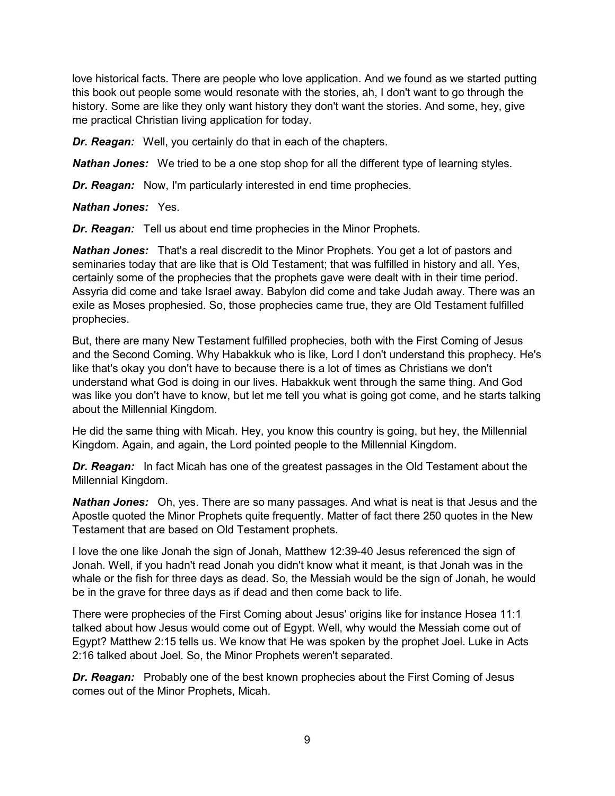love historical facts. There are people who love application. And we found as we started putting this book out people some would resonate with the stories, ah, I don't want to go through the history. Some are like they only want history they don't want the stories. And some, hey, give me practical Christian living application for today.

*Dr. Reagan:* Well, you certainly do that in each of the chapters.

**Nathan Jones:** We tried to be a one stop shop for all the different type of learning styles.

*Dr. Reagan:* Now, I'm particularly interested in end time prophecies.

*Nathan Jones:* Yes.

*Dr. Reagan:* Tell us about end time prophecies in the Minor Prophets.

*Nathan Jones:* That's a real discredit to the Minor Prophets. You get a lot of pastors and seminaries today that are like that is Old Testament; that was fulfilled in history and all. Yes, certainly some of the prophecies that the prophets gave were dealt with in their time period. Assyria did come and take Israel away. Babylon did come and take Judah away. There was an exile as Moses prophesied. So, those prophecies came true, they are Old Testament fulfilled prophecies.

But, there are many New Testament fulfilled prophecies, both with the First Coming of Jesus and the Second Coming. Why Habakkuk who is like, Lord I don't understand this prophecy. He's like that's okay you don't have to because there is a lot of times as Christians we don't understand what God is doing in our lives. Habakkuk went through the same thing. And God was like you don't have to know, but let me tell you what is going got come, and he starts talking about the Millennial Kingdom.

He did the same thing with Micah. Hey, you know this country is going, but hey, the Millennial Kingdom. Again, and again, the Lord pointed people to the Millennial Kingdom.

*Dr. Reagan:* In fact Micah has one of the greatest passages in the Old Testament about the Millennial Kingdom.

*Nathan Jones:* Oh, yes. There are so many passages. And what is neat is that Jesus and the Apostle quoted the Minor Prophets quite frequently. Matter of fact there 250 quotes in the New Testament that are based on Old Testament prophets.

I love the one like Jonah the sign of Jonah, Matthew 12:39-40 Jesus referenced the sign of Jonah. Well, if you hadn't read Jonah you didn't know what it meant, is that Jonah was in the whale or the fish for three days as dead. So, the Messiah would be the sign of Jonah, he would be in the grave for three days as if dead and then come back to life.

There were prophecies of the First Coming about Jesus' origins like for instance Hosea 11:1 talked about how Jesus would come out of Egypt. Well, why would the Messiah come out of Egypt? Matthew 2:15 tells us. We know that He was spoken by the prophet Joel. Luke in Acts 2:16 talked about Joel. So, the Minor Prophets weren't separated.

**Dr. Reagan:** Probably one of the best known prophecies about the First Coming of Jesus comes out of the Minor Prophets, Micah.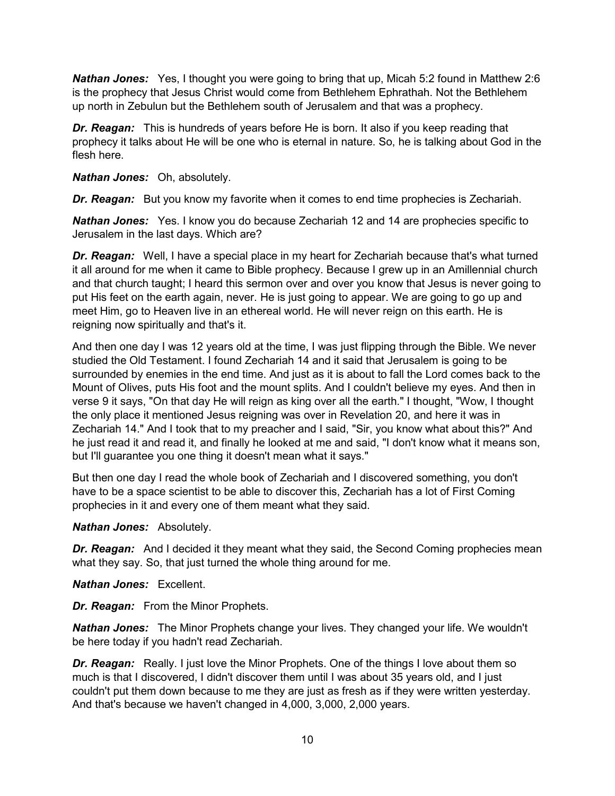*Nathan Jones:* Yes, I thought you were going to bring that up, Micah 5:2 found in Matthew 2:6 is the prophecy that Jesus Christ would come from Bethlehem Ephrathah. Not the Bethlehem up north in Zebulun but the Bethlehem south of Jerusalem and that was a prophecy.

*Dr. Reagan:* This is hundreds of years before He is born. It also if you keep reading that prophecy it talks about He will be one who is eternal in nature. So, he is talking about God in the flesh here.

*Nathan Jones:* Oh, absolutely.

*Dr. Reagan:* But you know my favorite when it comes to end time prophecies is Zechariah.

*Nathan Jones:* Yes. I know you do because Zechariah 12 and 14 are prophecies specific to Jerusalem in the last days. Which are?

*Dr. Reagan:* Well, I have a special place in my heart for Zechariah because that's what turned it all around for me when it came to Bible prophecy. Because I grew up in an Amillennial church and that church taught; I heard this sermon over and over you know that Jesus is never going to put His feet on the earth again, never. He is just going to appear. We are going to go up and meet Him, go to Heaven live in an ethereal world. He will never reign on this earth. He is reigning now spiritually and that's it.

And then one day I was 12 years old at the time, I was just flipping through the Bible. We never studied the Old Testament. I found Zechariah 14 and it said that Jerusalem is going to be surrounded by enemies in the end time. And just as it is about to fall the Lord comes back to the Mount of Olives, puts His foot and the mount splits. And I couldn't believe my eyes. And then in verse 9 it says, "On that day He will reign as king over all the earth." I thought, "Wow, I thought the only place it mentioned Jesus reigning was over in Revelation 20, and here it was in Zechariah 14." And I took that to my preacher and I said, "Sir, you know what about this?" And he just read it and read it, and finally he looked at me and said, "I don't know what it means son, but I'll guarantee you one thing it doesn't mean what it says."

But then one day I read the whole book of Zechariah and I discovered something, you don't have to be a space scientist to be able to discover this, Zechariah has a lot of First Coming prophecies in it and every one of them meant what they said.

### *Nathan Jones:* Absolutely.

**Dr. Reagan:** And I decided it they meant what they said, the Second Coming prophecies mean what they say. So, that just turned the whole thing around for me.

*Nathan Jones:* Excellent.

*Dr. Reagan:* From the Minor Prophets.

*Nathan Jones:* The Minor Prophets change your lives. They changed your life. We wouldn't be here today if you hadn't read Zechariah.

**Dr. Reagan:** Really. I just love the Minor Prophets. One of the things I love about them so much is that I discovered, I didn't discover them until I was about 35 years old, and I just couldn't put them down because to me they are just as fresh as if they were written yesterday. And that's because we haven't changed in 4,000, 3,000, 2,000 years.